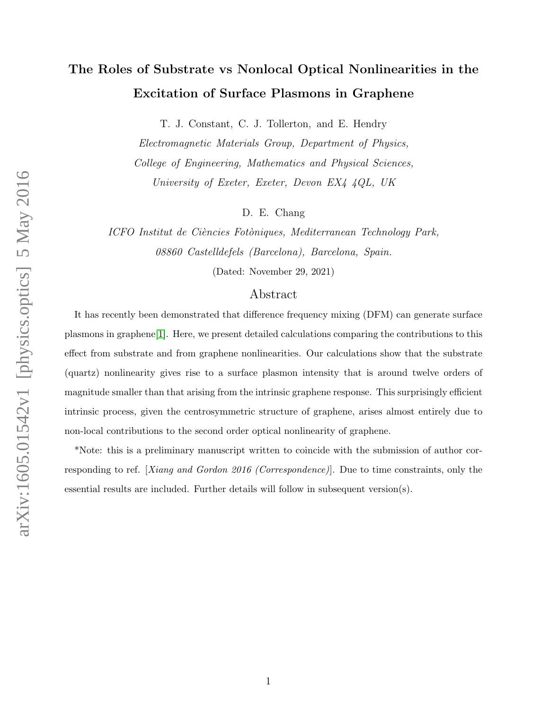# The Roles of Substrate vs Nonlocal Optical Nonlinearities in the Excitation of Surface Plasmons in Graphene

T. J. Constant, C. J. Tollerton, and E. Hendry

Electromagnetic Materials Group, Department of Physics, College of Engineering, Mathematics and Physical Sciences, University of Exeter, Exeter, Devon EX4 4QL, UK

D. E. Chang

ICFO Institut de Ciències Fotòniques, Mediterranean Technology Park, 08860 Castelldefels (Barcelona), Barcelona, Spain.

(Dated: November 29, 2021)

#### Abstract

It has recently been demonstrated that difference frequency mixing (DFM) can generate surface plasmons in graphene[\[1\]](#page-7-0). Here, we present detailed calculations comparing the contributions to this effect from substrate and from graphene nonlinearities. Our calculations show that the substrate (quartz) nonlinearity gives rise to a surface plasmon intensity that is around twelve orders of magnitude smaller than that arising from the intrinsic graphene response. This surprisingly efficient intrinsic process, given the centrosymmetric structure of graphene, arises almost entirely due to non-local contributions to the second order optical nonlinearity of graphene.

\*Note: this is a preliminary manuscript written to coincide with the submission of author corresponding to ref. [Xiang and Gordon 2016 (Correspondence)]. Due to time constraints, only the essential results are included. Further details will follow in subsequent version(s).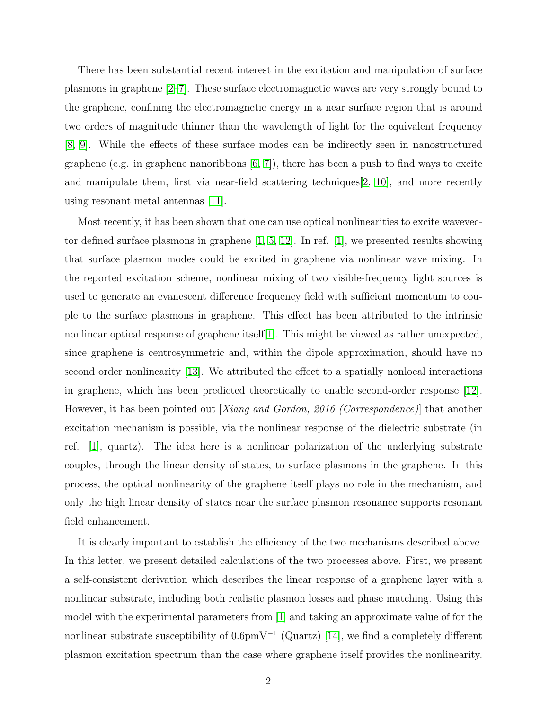There has been substantial recent interest in the excitation and manipulation of surface plasmons in graphene [\[2–](#page-8-0)[7\]](#page-8-1). These surface electromagnetic waves are very strongly bound to the graphene, confining the electromagnetic energy in a near surface region that is around two orders of magnitude thinner than the wavelength of light for the equivalent frequency [\[8,](#page-8-2) [9\]](#page-8-3). While the effects of these surface modes can be indirectly seen in nanostructured graphene (e.g. in graphene nanoribbons  $(6, 7)$ ), there has been a push to find ways to excite and manipulate them, first via near-field scattering techniques[\[2,](#page-8-0) [10\]](#page-8-5), and more recently using resonant metal antennas [\[11\]](#page-8-6).

Most recently, it has been shown that one can use optical nonlinearities to excite wavevector defined surface plasmons in graphene [\[1,](#page-7-0) [5,](#page-8-7) [12\]](#page-8-8). In ref. [\[1\]](#page-7-0), we presented results showing that surface plasmon modes could be excited in graphene via nonlinear wave mixing. In the reported excitation scheme, nonlinear mixing of two visible-frequency light sources is used to generate an evanescent difference frequency field with sufficient momentum to couple to the surface plasmons in graphene. This effect has been attributed to the intrinsic nonlinear optical response of graphene itself[\[1\]](#page-7-0). This might be viewed as rather unexpected, since graphene is centrosymmetric and, within the dipole approximation, should have no second order nonlinearity [\[13\]](#page-8-9). We attributed the effect to a spatially nonlocal interactions in graphene, which has been predicted theoretically to enable second-order response [\[12\]](#page-8-8). However, it has been pointed out [Xiang and Gordon, 2016 (Correspondence)] that another excitation mechanism is possible, via the nonlinear response of the dielectric substrate (in ref. [\[1\]](#page-7-0), quartz). The idea here is a nonlinear polarization of the underlying substrate couples, through the linear density of states, to surface plasmons in the graphene. In this process, the optical nonlinearity of the graphene itself plays no role in the mechanism, and only the high linear density of states near the surface plasmon resonance supports resonant field enhancement.

It is clearly important to establish the efficiency of the two mechanisms described above. In this letter, we present detailed calculations of the two processes above. First, we present a self-consistent derivation which describes the linear response of a graphene layer with a nonlinear substrate, including both realistic plasmon losses and phase matching. Using this model with the experimental parameters from [\[1\]](#page-7-0) and taking an approximate value of for the nonlinear substrate susceptibility of 0.6pmV<sup>-1</sup> (Quartz) [\[14\]](#page-8-10), we find a completely different plasmon excitation spectrum than the case where graphene itself provides the nonlinearity.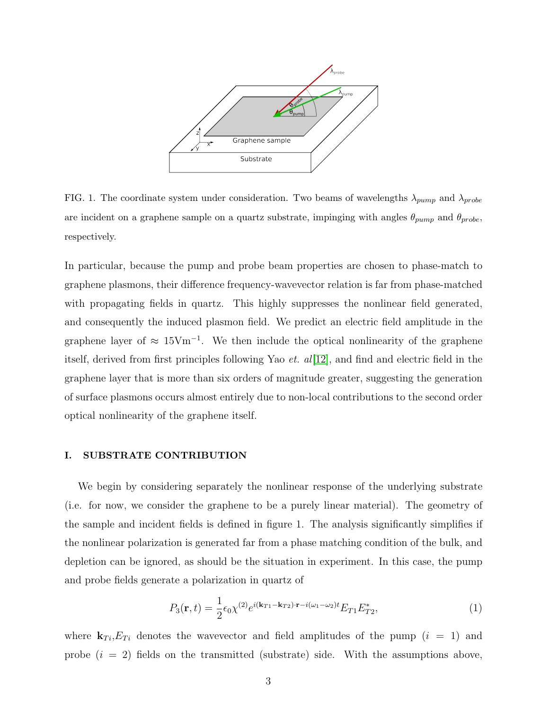

FIG. 1. The coordinate system under consideration. Two beams of wavelengths  $\lambda_{pump}$  and  $\lambda_{probe}$ are incident on a graphene sample on a quartz substrate, impinging with angles  $\theta_{pump}$  and  $\theta_{probe}$ , respectively.

In particular, because the pump and probe beam properties are chosen to phase-match to graphene plasmons, their difference frequency-wavevector relation is far from phase-matched with propagating fields in quartz. This highly suppresses the nonlinear field generated, and consequently the induced plasmon field. We predict an electric field amplitude in the graphene layer of  $\approx 15 \text{V} \text{m}^{-1}$ . We then include the optical nonlinearity of the graphene itself, derived from first principles following Yao *et. al*[\[12\]](#page-8-8), and find and electric field in the graphene layer that is more than six orders of magnitude greater, suggesting the generation of surface plasmons occurs almost entirely due to non-local contributions to the second order optical nonlinearity of the graphene itself.

### I. SUBSTRATE CONTRIBUTION

We begin by considering separately the nonlinear response of the underlying substrate (i.e. for now, we consider the graphene to be a purely linear material). The geometry of the sample and incident fields is defined in figure 1. The analysis significantly simplifies if the nonlinear polarization is generated far from a phase matching condition of the bulk, and depletion can be ignored, as should be the situation in experiment. In this case, the pump and probe fields generate a polarization in quartz of

$$
P_3(\mathbf{r}, t) = \frac{1}{2} \epsilon_0 \chi^{(2)} e^{i(\mathbf{k}_{T1} - \mathbf{k}_{T2}) \cdot \mathbf{r} - i(\omega_1 - \omega_2)t} E_{T1} E_{T2}^*,
$$
(1)

where  $\mathbf{k}_{Ti}$ ,  $E_{Ti}$  denotes the wavevector and field amplitudes of the pump  $(i = 1)$  and probe  $(i = 2)$  fields on the transmitted (substrate) side. With the assumptions above,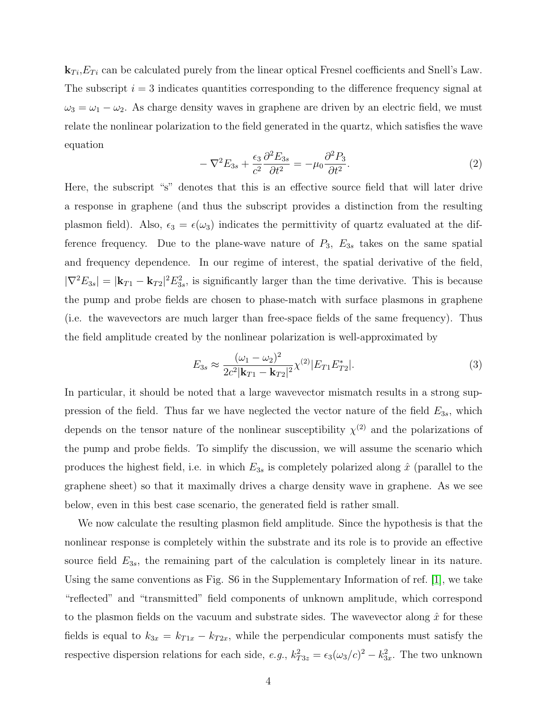$\mathbf{k}_{Ti}$ , $E_{Ti}$  can be calculated purely from the linear optical Fresnel coefficients and Snell's Law. The subscript  $i = 3$  indicates quantities corresponding to the difference frequency signal at  $\omega_3 = \omega_1 - \omega_2$ . As charge density waves in graphene are driven by an electric field, we must relate the nonlinear polarization to the field generated in the quartz, which satisfies the wave equation

$$
-\nabla^2 E_{3s} + \frac{\epsilon_3}{c^2} \frac{\partial^2 E_{3s}}{\partial t^2} = -\mu_0 \frac{\partial^2 P_3}{\partial t^2}.
$$
\n(2)

Here, the subscript "s" denotes that this is an effective source field that will later drive a response in graphene (and thus the subscript provides a distinction from the resulting plasmon field). Also,  $\epsilon_3 = \epsilon(\omega_3)$  indicates the permittivity of quartz evaluated at the difference frequency. Due to the plane-wave nature of  $P_3$ ,  $E_{3s}$  takes on the same spatial and frequency dependence. In our regime of interest, the spatial derivative of the field,  $|\nabla^2 E_{3s}| = |\mathbf{k}_{T1} - \mathbf{k}_{T2}|^2 E_{3s}^2$ , is significantly larger than the time derivative. This is because the pump and probe fields are chosen to phase-match with surface plasmons in graphene (i.e. the wavevectors are much larger than free-space fields of the same frequency). Thus the field amplitude created by the nonlinear polarization is well-approximated by

$$
E_{3s} \approx \frac{(\omega_1 - \omega_2)^2}{2c^2 |\mathbf{k}_{T1} - \mathbf{k}_{T2}|^2} \chi^{(2)} |E_{T1} E_{T2}^*|.
$$
\n(3)

In particular, it should be noted that a large wavevector mismatch results in a strong suppression of the field. Thus far we have neglected the vector nature of the field  $E_{3s}$ , which depends on the tensor nature of the nonlinear susceptibility  $\chi^{(2)}$  and the polarizations of the pump and probe fields. To simplify the discussion, we will assume the scenario which produces the highest field, i.e. in which  $E_{3s}$  is completely polarized along  $\hat{x}$  (parallel to the graphene sheet) so that it maximally drives a charge density wave in graphene. As we see below, even in this best case scenario, the generated field is rather small.

We now calculate the resulting plasmon field amplitude. Since the hypothesis is that the nonlinear response is completely within the substrate and its role is to provide an effective source field  $E_{3s}$ , the remaining part of the calculation is completely linear in its nature. Using the same conventions as Fig. S6 in the Supplementary Information of ref. [\[1\]](#page-7-0), we take "reflected" and "transmitted" field components of unknown amplitude, which correspond to the plasmon fields on the vacuum and substrate sides. The wavevector along  $\hat{x}$  for these fields is equal to  $k_{3x} = k_{T1x} - k_{T2x}$ , while the perpendicular components must satisfy the respective dispersion relations for each side,  $e.g., k_{T3z}^2 = \epsilon_3(\omega_3/c)^2 - k_{3x}^2$ . The two unknown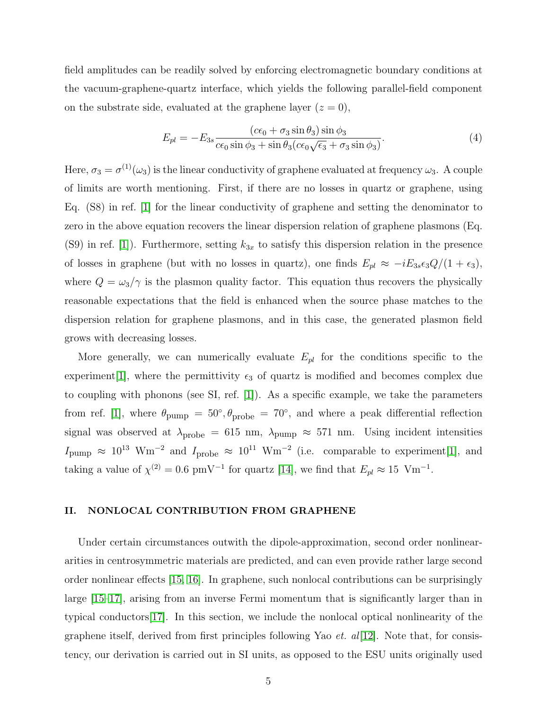field amplitudes can be readily solved by enforcing electromagnetic boundary conditions at the vacuum-graphene-quartz interface, which yields the following parallel-field component on the substrate side, evaluated at the graphene layer  $(z = 0)$ ,

$$
E_{pl} = -E_{3s} \frac{(c\epsilon_0 + \sigma_3 \sin \theta_3) \sin \phi_3}{c\epsilon_0 \sin \phi_3 + \sin \theta_3 (c\epsilon_0 \sqrt{\epsilon_3} + \sigma_3 \sin \phi_3)}.
$$
(4)

Here,  $\sigma_3 = \sigma^{(1)}(\omega_3)$  is the linear conductivity of graphene evaluated at frequency  $\omega_3$ . A couple of limits are worth mentioning. First, if there are no losses in quartz or graphene, using Eq. (S8) in ref. [\[1\]](#page-7-0) for the linear conductivity of graphene and setting the denominator to zero in the above equation recovers the linear dispersion relation of graphene plasmons (Eq. (S9) in ref. [\[1\]](#page-7-0)). Furthermore, setting  $k_{3x}$  to satisfy this dispersion relation in the presence of losses in graphene (but with no losses in quartz), one finds  $E_{pl} \approx -iE_{3s}\epsilon_3Q/(1+\epsilon_3)$ , where  $Q = \omega_3/\gamma$  is the plasmon quality factor. This equation thus recovers the physically reasonable expectations that the field is enhanced when the source phase matches to the dispersion relation for graphene plasmons, and in this case, the generated plasmon field grows with decreasing losses.

More generally, we can numerically evaluate  $E_{pl}$  for the conditions specific to the experiment[\[1\]](#page-7-0), where the permittivity  $\epsilon_3$  of quartz is modified and becomes complex due to coupling with phonons (see SI, ref. [\[1\]](#page-7-0)). As a specific example, we take the parameters from ref. [\[1\]](#page-7-0), where  $\theta_{\text{pump}} = 50^{\circ}, \theta_{\text{probe}} = 70^{\circ}$ , and where a peak differential reflection signal was observed at  $\lambda_{\text{probe}} = 615 \text{ nm}, \lambda_{\text{pump}} \approx 571 \text{ nm}.$  Using incident intensities  $I_{\text{pump}} \approx 10^{13} \text{ Wm}^{-2}$  and  $I_{\text{probe}} \approx 10^{11} \text{ Wm}^{-2}$  (i.e. comparable to experiment[\[1\]](#page-7-0), and taking a value of  $\chi^{(2)} = 0.6$  pmV<sup>-1</sup> for quartz [\[14\]](#page-8-10), we find that  $E_{pl} \approx 15$  Vm<sup>-1</sup>.

#### II. NONLOCAL CONTRIBUTION FROM GRAPHENE

Under certain circumstances outwith the dipole-approximation, second order nonlineararities in centrosymmetric materials are predicted, and can even provide rather large second order nonlinear effects [\[15,](#page-8-11) [16\]](#page-8-12). In graphene, such nonlocal contributions can be surprisingly large [\[15–](#page-8-11)[17\]](#page-8-13), arising from an inverse Fermi momentum that is significantly larger than in typical conductors[\[17\]](#page-8-13). In this section, we include the nonlocal optical nonlinearity of the graphene itself, derived from first principles following Yao *et. al*[\[12\]](#page-8-8). Note that, for consistency, our derivation is carried out in SI units, as opposed to the ESU units originally used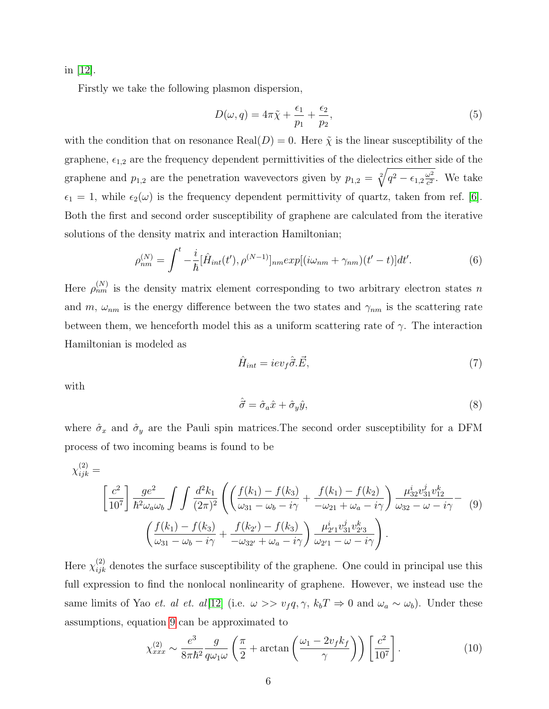in [\[12\]](#page-8-8).

Firstly we take the following plasmon dispersion,

$$
D(\omega, q) = 4\pi \tilde{\chi} + \frac{\epsilon_1}{p_1} + \frac{\epsilon_2}{p_2},\tag{5}
$$

with the condition that on resonance Real( $D$ ) = 0. Here  $\tilde{\chi}$  is the linear susceptibility of the graphene,  $\epsilon_{1,2}$  are the frequency dependent permittivities of the dielectrics either side of the graphene and  $p_{1,2}$  are the penetration wavevectors given by  $p_{1,2} = \sqrt[2]{q^2 - \epsilon_{1,2} \frac{\omega^2}{c^2}}$  $\frac{\omega^2}{c^2}$ . We take  $\epsilon_1 = 1$ , while  $\epsilon_2(\omega)$  is the frequency dependent permittivity of quartz, taken from ref. [\[6\]](#page-8-4). Both the first and second order susceptibility of graphene are calculated from the iterative solutions of the density matrix and interaction Hamiltonian;

$$
\rho_{nm}^{(N)} = \int^t -\frac{i}{\hbar} [\hat{H}_{int}(t'), \rho^{(N-1)}]_{nm} exp[(i\omega_{nm} + \gamma_{nm})(t'-t)]dt'. \tag{6}
$$

Here  $\rho_{nm}^{(N)}$  is the density matrix element corresponding to two arbitrary electron states n and m,  $\omega_{nm}$  is the energy difference between the two states and  $\gamma_{nm}$  is the scattering rate between them, we henceforth model this as a uniform scattering rate of  $\gamma$ . The interaction Hamiltonian is modeled as

$$
\hat{H}_{int} = iev_f \hat{\vec{\sigma}}.\vec{E},\tag{7}
$$

with

$$
\hat{\vec{\sigma}} = \hat{\sigma}_a \hat{x} + \hat{\sigma}_y \hat{y},\tag{8}
$$

where  $\hat{\sigma}_x$  and  $\hat{\sigma}_y$  are the Pauli spin matrices. The second order susceptibility for a DFM process of two incoming beams is found to be

<span id="page-5-0"></span>
$$
\chi_{ijk}^{(2)} = \left[\frac{c^2}{10^7}\right] \frac{g e^2}{\hbar^2 \omega_a \omega_b} \int \int \frac{d^2 k_1}{(2\pi)^2} \left( \left(\frac{f(k_1) - f(k_3)}{\omega_{31} - \omega_b - i\gamma} + \frac{f(k_1) - f(k_2)}{-\omega_{21} + \omega_a - i\gamma} \right) \frac{\mu_{32}^i v_{31}^j v_{12}^k}{\omega_{32} - \omega - i\gamma} - (9) \left(\frac{f(k_1) - f(k_3)}{\omega_{31} - \omega_b - i\gamma} + \frac{f(k_2) - f(k_3)}{-\omega_{32} + \omega_a - i\gamma} \right) \frac{\mu_{21}^i v_{31}^j v_{23}^k}{\omega_{21} - \omega - i\gamma} \right).
$$

Here  $\chi_{ijk}^{(2)}$  denotes the surface susceptibility of the graphene. One could in principal use this full expression to find the nonlocal nonlinearity of graphene. However, we instead use the same limits of Yao et. al et. al[\[12\]](#page-8-8) (i.e.  $\omega >> v_f q, \gamma, k_b T \Rightarrow 0$  and  $\omega_a \sim \omega_b$ ). Under these assumptions, equation [9](#page-5-0) can be approximated to

<span id="page-5-1"></span>
$$
\chi_{xxx}^{(2)} \sim \frac{e^3}{8\pi\hbar^2} \frac{g}{q\omega_1\omega} \left(\frac{\pi}{2} + \arctan\left(\frac{\omega_1 - 2v_f k_f}{\gamma}\right)\right) \left[\frac{c^2}{10^7}\right].\tag{10}
$$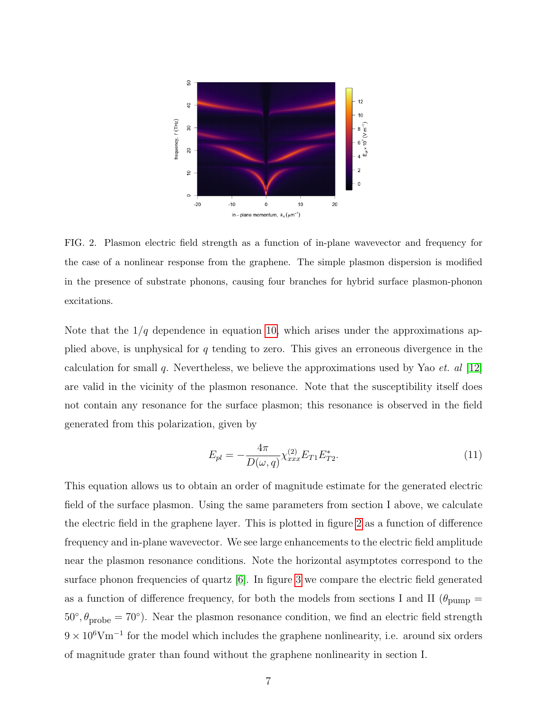

<span id="page-6-0"></span>FIG. 2. Plasmon electric field strength as a function of in-plane wavevector and frequency for the case of a nonlinear response from the graphene. The simple plasmon dispersion is modified in the presence of substrate phonons, causing four branches for hybrid surface plasmon-phonon excitations.

Note that the  $1/q$  dependence in equation [10,](#page-5-1) which arises under the approximations applied above, is unphysical for q tending to zero. This gives an erroneous divergence in the calculation for small q. Nevertheless, we believe the approximations used by Yao *et. al* [\[12\]](#page-8-8) are valid in the vicinity of the plasmon resonance. Note that the susceptibility itself does not contain any resonance for the surface plasmon; this resonance is observed in the field generated from this polarization, given by

$$
E_{pl} = -\frac{4\pi}{D(\omega, q)} \chi_{xxx}^{(2)} E_{T1} E_{T2}^*.
$$
\n(11)

This equation allows us to obtain an order of magnitude estimate for the generated electric field of the surface plasmon. Using the same parameters from section I above, we calculate the electric field in the graphene layer. This is plotted in figure [2](#page-6-0) as a function of difference frequency and in-plane wavevector. We see large enhancements to the electric field amplitude near the plasmon resonance conditions. Note the horizontal asymptotes correspond to the surface phonon frequencies of quartz  $[6]$ . In figure [3](#page-7-1) we compare the electric field generated as a function of difference frequency, for both the models from sections I and II ( $\theta_{\text{pump}} =$  $50\degree, \theta_{\text{probe}} = 70\degree$ ). Near the plasmon resonance condition, we find an electric field strength  $9 \times 10^6$ Vm<sup>-1</sup> for the model which includes the graphene nonlinearity, i.e. around six orders of magnitude grater than found without the graphene nonlinearity in section I.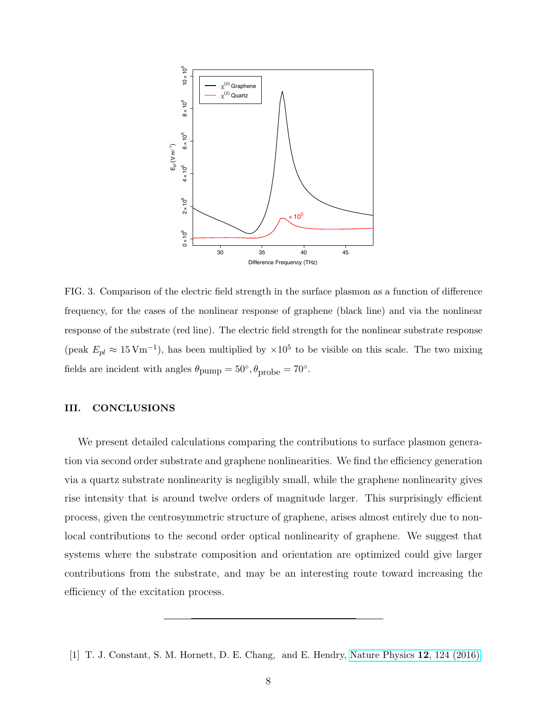

<span id="page-7-1"></span>FIG. 3. Comparison of the electric field strength in the surface plasmon as a function of difference frequency, for the cases of the nonlinear response of graphene (black line) and via the nonlinear response of the substrate (red line). The electric field strength for the nonlinear substrate response (peak  $E_{pl} \approx 15 \,\mathrm{Vm^{-1}}$ ), has been multiplied by  $\times 10^5$  to be visible on this scale. The two mixing fields are incident with angles  $\theta_{\text{pump}} = 50^{\circ}, \theta_{\text{probe}} = 70^{\circ}.$ 

## III. CONCLUSIONS

We present detailed calculations comparing the contributions to surface plasmon generation via second order substrate and graphene nonlinearities. We find the efficiency generation via a quartz substrate nonlinearity is negligibly small, while the graphene nonlinearity gives rise intensity that is around twelve orders of magnitude larger. This surprisingly efficient process, given the centrosymmetric structure of graphene, arises almost entirely due to nonlocal contributions to the second order optical nonlinearity of graphene. We suggest that systems where the substrate composition and orientation are optimized could give larger contributions from the substrate, and may be an interesting route toward increasing the efficiency of the excitation process.

<span id="page-7-0"></span><sup>[1]</sup> T. J. Constant, S. M. Hornett, D. E. Chang, and E. Hendry, [Nature Physics](http://dx.doi.org/10.1038/nphys3545) 12, 124 (2016).